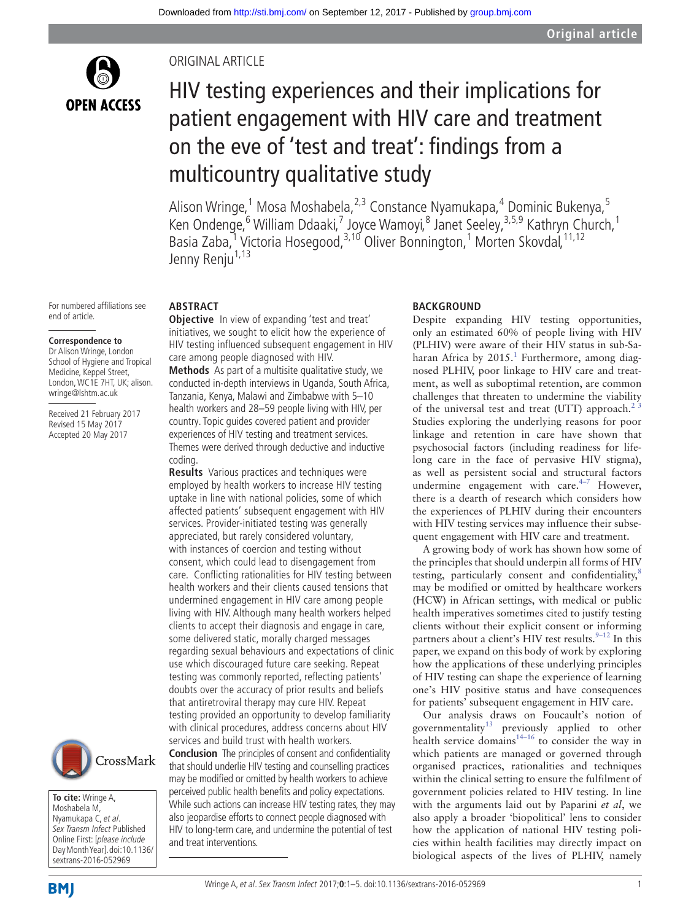

# Original article

# HIV testing experiences and their implications for patient engagement with HIV care and treatment on the eve of 'test and treat': findings from a multicountry qualitative study

Alison Wringe,<sup>1</sup> Mosa Moshabela,<sup>2,3</sup> Constance Nyamukapa,<sup>4</sup> Dominic Bukenya,<sup>5</sup> Ken Ondenge, <sup>6</sup> William Ddaaki, <sup>7</sup> Joyce Wamoyi, <sup>8</sup> Janet Seeley, <sup>3,5,9</sup> Kathryn Church, <sup>1</sup> Basia Zaba,<sup>1</sup> Victoria Hosegood,<sup>3,10</sup> Oliver Bonnington,<sup>1</sup> Morten Skovdal,<sup>11,12</sup> Jenny Renju<sup>1,13</sup>

For numbered affiliations see end of article.

#### **Correspondence to**

Dr Alison Wringe, London School of Hygiene and Tropical Medicine, Keppel Street, London, WC1E 7HT, UK; alison. wringe@lshtm.ac.uk

Received 21 February 2017 Revised 15 May 2017 Accepted 20 May 2017



**To cite:** Wringe A, Moshabela M, Nyamukapa C, et al. Sex Transm Infect Published Online First: [please include Day Month Year]. doi:10.1136/ sextrans-2016-052969

**Abstract**

**Objective** In view of expanding 'test and treat' initiatives, we sought to elicit how the experience of HIV testing influenced subsequent engagement in HIV care among people diagnosed with HIV. **Methods** As part of a multisite qualitative study, we conducted in-depth interviews in Uganda, South Africa, Tanzania, Kenya, Malawi and Zimbabwe with 5–10 health workers and 28–59 people living with HIV, per

country. Topic guides covered patient and provider experiences of HIV testing and treatment services. Themes were derived through deductive and inductive coding.

**Results** Various practices and techniques were employed by health workers to increase HIV testing uptake in line with national policies, some of which affected patients' subsequent engagement with HIV services. Provider-initiated testing was generally appreciated, but rarely considered voluntary, with instances of coercion and testing without consent, which could lead to disengagement from care. Conflicting rationalities for HIV testing between health workers and their clients caused tensions that undermined engagement in HIV care among people living with HIV. Although many health workers helped clients to accept their diagnosis and engage in care, some delivered static, morally charged messages regarding sexual behaviours and expectations of clinic use which discouraged future care seeking. Repeat testing was commonly reported, reflecting patients' doubts over the accuracy of prior results and beliefs that antiretroviral therapy may cure HIV. Repeat testing provided an opportunity to develop familiarity with clinical procedures, address concerns about HIV services and build trust with health workers.

**Conclusion** The principles of consent and confidentiality that should underlie HIV testing and counselling practices may be modified or omitted by health workers to achieve perceived public health benefits and policy expectations. While such actions can increase HIV testing rates, they may also jeopardise efforts to connect people diagnosed with HIV to long-term care, and undermine the potential of test and treat interventions.

### **BACKGROUND**

Despite expanding HIV testing opportunities, only an estimated 60% of people living with HIV (PLHIV) were aware of their HIV status in sub-Sa-haran Africa by 20[1](#page-4-0)5.<sup>1</sup> Furthermore, among diagnosed PLHIV, poor linkage to HIV care and treatment, as well as suboptimal retention, are common challenges that threaten to undermine the viability of the universal test and treat (UTT) approach.<sup>23</sup> Studies exploring the underlying reasons for poor linkage and retention in care have shown that psychosocial factors (including readiness for lifelong care in the face of pervasive HIV stigma), as well as persistent social and structural factors undermine engagement with care. $4-7$  However, there is a dearth of research which considers how the experiences of PLHIV during their encounters with HIV testing services may influence their subsequent engagement with HIV care and treatment.

A growing body of work has shown how some of the principles that should underpin all forms of HIV testing, particularly consent and confidentiality, $8$ may be modified or omitted by healthcare workers (HCW) in African settings, with medical or public health imperatives sometimes cited to justify testing clients without their explicit consent or informing partners about a client's HIV test results. $9-12$  In this paper, we expand on this body of work by exploring how the applications of these underlying principles of HIV testing can shape the experience of learning one's HIV positive status and have consequences for patients' subsequent engagement in HIV care.

Our analysis draws on Foucault's notion of governmentality<sup>[13](#page-4-5)</sup> previously applied to other health service domains $14-16$  to consider the way in which patients are managed or governed through organised practices, rationalities and techniques within the clinical setting to ensure the fulfilment of government policies related to HIV testing. In line with the arguments laid out by Paparini *et al*, we also apply a broader 'biopolitical' lens to consider how the application of national HIV testing policies within health facilities may directly impact on biological aspects of the lives of PLHIV, namely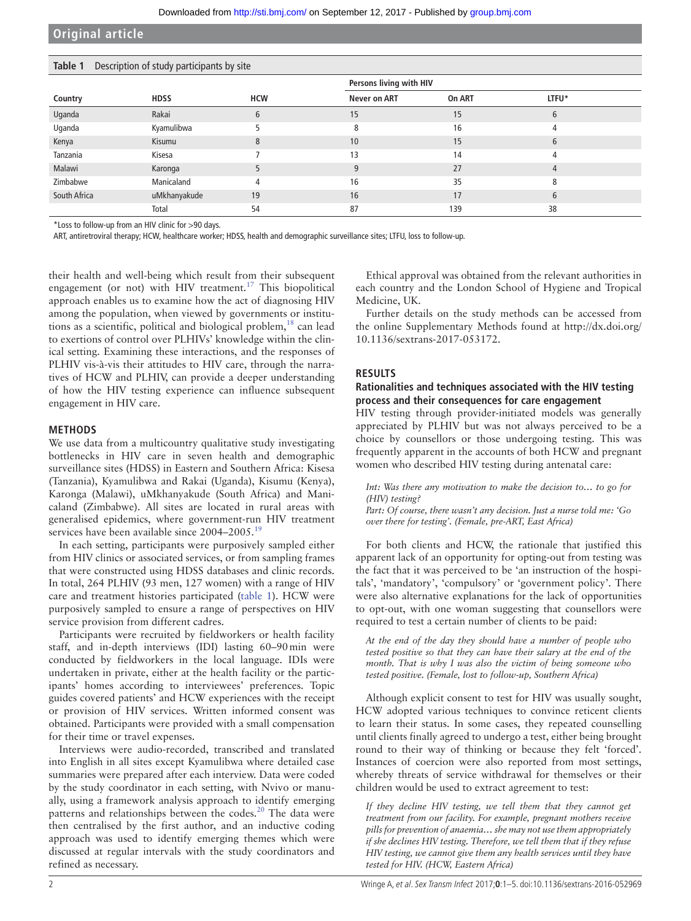## **Original article**

<span id="page-1-0"></span>

| Table 1<br>Description of study participants by site |              |            |                         |        |       |
|------------------------------------------------------|--------------|------------|-------------------------|--------|-------|
|                                                      |              |            | Persons living with HIV |        |       |
| Country                                              | <b>HDSS</b>  | <b>HCW</b> | Never on ART            | On ART | LTFU* |
| Uganda                                               | Rakai        | 6          | 15                      | 15     | 6     |
| Uganda                                               | Kyamulibwa   | 5          | 8                       | 16     | 4     |
| Kenya                                                | Kisumu       | 8          | 10                      | 15     | 6     |
| Tanzania                                             | Kisesa       |            | 13                      | 14     | 4     |
| Malawi                                               | Karonga      | 5          | 9                       | 27     | 4     |
| Zimbabwe                                             | Manicaland   | 4          | 16                      | 35     | 8     |
| South Africa                                         | uMkhanyakude | 19         | 16                      | 17     | 6     |
|                                                      | Total        | 54         | 87                      | 139    | 38    |

\*Loss to follow-up from an HIV clinic for >90 days.

ART, antiretroviral therapy; HCW, healthcare worker; HDSS, health and demographic surveillance sites; LTFU, loss to follow-up.

their health and well-being which result from their subsequent engagement (or not) with HIV treatment.<sup>[17](#page-4-7)</sup> This biopolitical approach enables us to examine how the act of diagnosing HIV among the population, when viewed by governments or institutions as a scientific, political and biological problem,<sup>18</sup> can lead to exertions of control over PLHIVs' knowledge within the clinical setting. Examining these interactions, and the responses of PLHIV vis-à-vis their attitudes to HIV care, through the narratives of HCW and PLHIV, can provide a deeper understanding of how the HIV testing experience can influence subsequent engagement in HIV care.

#### **Methods**

We use data from a multicountry qualitative study investigating bottlenecks in HIV care in seven health and demographic surveillance sites (HDSS) in Eastern and Southern Africa: Kisesa (Tanzania), Kyamulibwa and Rakai (Uganda), Kisumu (Kenya), Karonga (Malawi), uMkhanyakude (South Africa) and Manicaland (Zimbabwe). All sites are located in rural areas with generalised epidemics, where government-run HIV treatment services have been available since 2004–2005.<sup>19</sup>

In each setting, participants were purposively sampled either from HIV clinics or associated services, or from sampling frames that were constructed using HDSS databases and clinic records. In total, 264 PLHIV (93 men, 127 women) with a range of HIV care and treatment histories participated ([table](#page-1-0) 1). HCW were purposively sampled to ensure a range of perspectives on HIV service provision from different cadres.

Participants were recruited by fieldworkers or health facility staff, and in-depth interviews (IDI) lasting 60–90min were conducted by fieldworkers in the local language. IDIs were undertaken in private, either at the health facility or the participants' homes according to interviewees' preferences. Topic guides covered patients' and HCW experiences with the receipt or provision of HIV services. Written informed consent was obtained. Participants were provided with a small compensation for their time or travel expenses.

Interviews were audio-recorded, transcribed and translated into English in all sites except Kyamulibwa where detailed case summaries were prepared after each interview. Data were coded by the study coordinator in each setting, with Nvivo or manually, using a framework analysis approach to identify emerging patterns and relationships between the codes.<sup>[20](#page-4-10)</sup> The data were then centralised by the first author, and an inductive coding approach was used to identify emerging themes which were discussed at regular intervals with the study coordinators and refined as necessary.

Ethical approval was obtained from the relevant authorities in each country and the London School of Hygiene and Tropical Medicine, UK.

Further details on the study methods can be accessed from the online Supplementary Methods found at [http://dx.doi.org/](http://dx.doi.org/10.1136/<wbr>sextrans-2017-053172) [10.1136/sextrans-2017-053172](http://dx.doi.org/10.1136/<wbr>sextrans-2017-053172).

#### **Results**

### **Rationalities and techniques associated with the HIV testing process and their consequences for care engagement**

HIV testing through provider-initiated models was generally appreciated by PLHIV but was not always perceived to be a choice by counsellors or those undergoing testing. This was frequently apparent in the accounts of both HCW and pregnant women who described HIV testing during antenatal care:

*Int: Was there any motivation to make the decision to… to go for (HIV) testing? Part: Of course, there wasn't any decision. Just a nurse told me: 'Go* 

*over there for testing'. (Female, pre-ART, East Africa)*

For both clients and HCW, the rationale that justified this apparent lack of an opportunity for opting-out from testing was the fact that it was perceived to be 'an instruction of the hospitals', 'mandatory', 'compulsory' or 'government policy'. There were also alternative explanations for the lack of opportunities to opt-out, with one woman suggesting that counsellors were required to test a certain number of clients to be paid:

*At the end of the day they should have a number of people who tested positive so that they can have their salary at the end of the month. That is why I was also the victim of being someone who tested positive. (Female, lost to follow-up, Southern Africa)*

Although explicit consent to test for HIV was usually sought, HCW adopted various techniques to convince reticent clients to learn their status. In some cases, they repeated counselling until clients finally agreed to undergo a test, either being brought round to their way of thinking or because they felt 'forced'. Instances of coercion were also reported from most settings, whereby threats of service withdrawal for themselves or their children would be used to extract agreement to test:

*If they decline HIV testing, we tell them that they cannot get treatment from our facility. For example, pregnant mothers receive pills for prevention of anaemia… she may not use them appropriately if she declines HIV testing. Therefore, we tell them that if they refuse HIV testing, we cannot give them any health services until they have tested for HIV. (HCW, Eastern Africa)*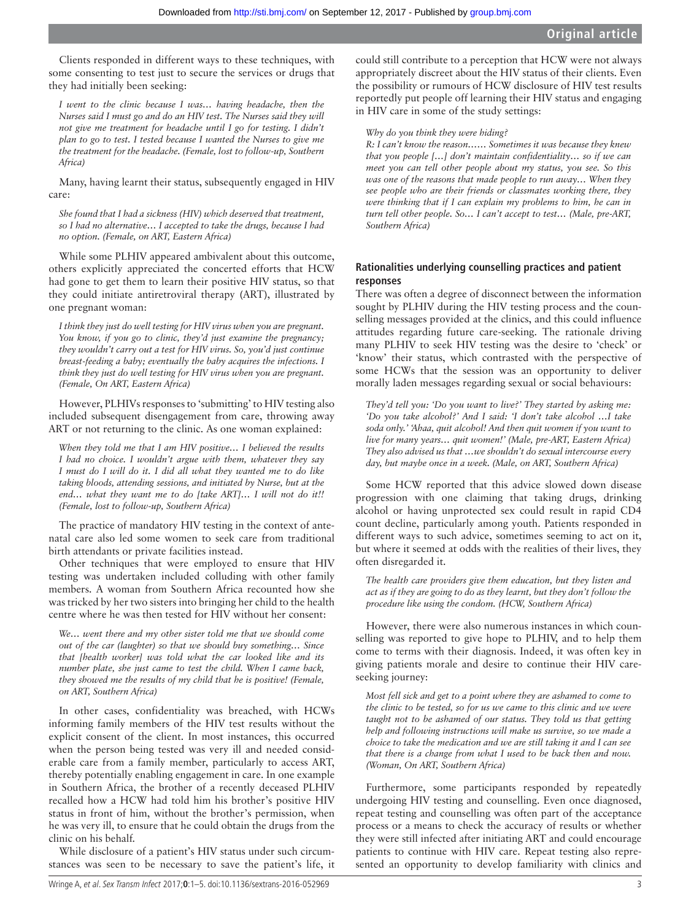Clients responded in different ways to these techniques, with some consenting to test just to secure the services or drugs that they had initially been seeking:

*I went to the clinic because I was… having headache, then the Nurses said I must go and do an HIV test. The Nurses said they will not give me treatment for headache until I go for testing. I didn't plan to go to test. I tested because I wanted the Nurses to give me the treatment for the headache. (Female, lost to follow-up, Southern Africa)*

Many, having learnt their status, subsequently engaged in HIV care:

*She found that I had a sickness (HIV) which deserved that treatment, so I had no alternative… I accepted to take the drugs, because I had no option. (Female, on ART, Eastern Africa)*

While some PLHIV appeared ambivalent about this outcome, others explicitly appreciated the concerted efforts that HCW had gone to get them to learn their positive HIV status, so that they could initiate antiretroviral therapy (ART), illustrated by one pregnant woman:

*I think they just do well testing for HIV virus when you are pregnant. You know, if you go to clinic, they'd just examine the pregnancy; they wouldn't carry out a test for HIV virus. So, you'd just continue breast-feeding a baby; eventually the baby acquires the infections. I think they just do well testing for HIV virus when you are pregnant. (Female, On ART, Eastern Africa)*

However, PLHIVs responses to 'submitting' to HIV testing also included subsequent disengagement from care, throwing away ART or not returning to the clinic. As one woman explained:

*When they told me that I am HIV positive… I believed the results I had no choice. I wouldn't argue with them, whatever they say I must do I will do it. I did all what they wanted me to do like taking bloods, attending sessions, and initiated by Nurse, but at the end… what they want me to do [take ART]… I will not do it!! (Female, lost to follow-up, Southern Africa)*

The practice of mandatory HIV testing in the context of antenatal care also led some women to seek care from traditional birth attendants or private facilities instead.

Other techniques that were employed to ensure that HIV testing was undertaken included colluding with other family members. A woman from Southern Africa recounted how she was tricked by her two sisters into bringing her child to the health centre where he was then tested for HIV without her consent:

*We… went there and my other sister told me that we should come out of the car (laughter) so that we should buy something… Since that [health worker] was told what the car looked like and its number plate, she just came to test the child. When I came back, they showed me the results of my child that he is positive! (Female, on ART, Southern Africa)*

In other cases, confidentiality was breached, with HCWs informing family members of the HIV test results without the explicit consent of the client. In most instances, this occurred when the person being tested was very ill and needed considerable care from a family member, particularly to access ART, thereby potentially enabling engagement in care. In one example in Southern Africa, the brother of a recently deceased PLHIV recalled how a HCW had told him his brother's positive HIV status in front of him, without the brother's permission, when he was very ill, to ensure that he could obtain the drugs from the clinic on his behalf.

While disclosure of a patient's HIV status under such circumstances was seen to be necessary to save the patient's life, it could still contribute to a perception that HCW were not always appropriately discreet about the HIV status of their clients. Even the possibility or rumours of HCW disclosure of HIV test results reportedly put people off learning their HIV status and engaging in HIV care in some of the study settings:

*Why do you think they were hiding?*

*R: I can't know the reason…… Sometimes it was because they knew that you people […] don't maintain confidentiality… so if we can meet you can tell other people about my status, you see. So this was one of the reasons that made people to run away… When they see people who are their friends or classmates working there, they were thinking that if I can explain my problems to him, he can in turn tell other people. So… I can't accept to test… (Male, pre-ART, Southern Africa)*

## **Rationalities underlying counselling practices and patient responses**

There was often a degree of disconnect between the information sought by PLHIV during the HIV testing process and the counselling messages provided at the clinics, and this could influence attitudes regarding future care-seeking. The rationale driving many PLHIV to seek HIV testing was the desire to 'check' or 'know' their status, which contrasted with the perspective of some HCWs that the session was an opportunity to deliver morally laden messages regarding sexual or social behaviours:

*They'd tell you: 'Do you want to live?' They started by asking me: 'Do you take alcohol?' And I said: 'I don't take alcohol …I take soda only.' 'Ahaa, quit alcohol! And then quit women if you want to live for many years… quit women!' (Male, pre-ART, Eastern Africa) They also advised us that …we shouldn't do sexual intercourse every day, but maybe once in a week. (Male, on ART, Southern Africa)*

Some HCW reported that this advice slowed down disease progression with one claiming that taking drugs, drinking alcohol or having unprotected sex could result in rapid CD4 count decline, particularly among youth. Patients responded in different ways to such advice, sometimes seeming to act on it, but where it seemed at odds with the realities of their lives, they often disregarded it.

*The health care providers give them education, but they listen and act as if they are going to do as they learnt, but they don't follow the procedure like using the condom. (HCW, Southern Africa)*

However, there were also numerous instances in which counselling was reported to give hope to PLHIV, and to help them come to terms with their diagnosis. Indeed, it was often key in giving patients morale and desire to continue their HIV careseeking journey:

*Most fell sick and get to a point where they are ashamed to come to the clinic to be tested, so for us we came to this clinic and we were taught not to be ashamed of our status. They told us that getting help and following instructions will make us survive, so we made a choice to take the medication and we are still taking it and I can see that there is a change from what I used to be back then and now. (Woman, On ART, Southern Africa)*

Furthermore, some participants responded by repeatedly undergoing HIV testing and counselling. Even once diagnosed, repeat testing and counselling was often part of the acceptance process or a means to check the accuracy of results or whether they were still infected after initiating ART and could encourage patients to continue with HIV care. Repeat testing also represented an opportunity to develop familiarity with clinics and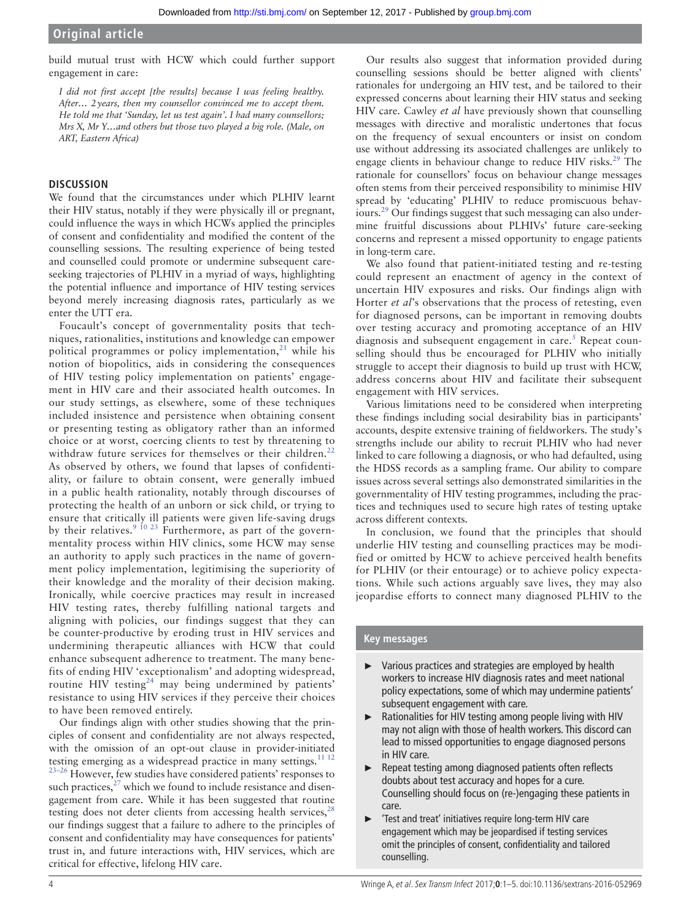build mutual trust with HCW which could further support engagement in care:

*I did not first accept [the results] because I was feeling healthy. After… 2years, then my counsellor convinced me to accept them. He told me that 'Sunday, let us test again'. I had many counsellors; Mrs X, Mr Y…and others but those two played a big role. (Male, on ART, Eastern Africa)*

#### **Discussion**

We found that the circumstances under which PLHIV learnt their HIV status, notably if they were physically ill or pregnant, could influence the ways in which HCWs applied the principles of consent and confidentiality and modified the content of the counselling sessions. The resulting experience of being tested and counselled could promote or undermine subsequent careseeking trajectories of PLHIV in a myriad of ways, highlighting the potential influence and importance of HIV testing services beyond merely increasing diagnosis rates, particularly as we enter the UTT era.

Foucault's concept of governmentality posits that techniques, rationalities, institutions and knowledge can empower political programmes or policy implementation, $21$  while his notion of biopolitics, aids in considering the consequences of HIV testing policy implementation on patients' engagement in HIV care and their associated health outcomes. In our study settings, as elsewhere, some of these techniques included insistence and persistence when obtaining consent or presenting testing as obligatory rather than an informed choice or at worst, coercing clients to test by threatening to withdraw future services for themselves or their children.<sup>2</sup> As observed by others, we found that lapses of confidentiality, or failure to obtain consent, were generally imbued in a public health rationality, notably through discourses of protecting the health of an unborn or sick child, or trying to ensure that critically ill patients were given life-saving drugs by their relatives.<sup>9 10 23</sup> Furthermore, as part of the governmentality process within HIV clinics, some HCW may sense an authority to apply such practices in the name of government policy implementation, legitimising the superiority of their knowledge and the morality of their decision making. Ironically, while coercive practices may result in increased HIV testing rates, thereby fulfilling national targets and aligning with policies, our findings suggest that they can be counter-productive by eroding trust in HIV services and undermining therapeutic alliances with HCW that could enhance subsequent adherence to treatment. The many benefits of ending HIV 'exceptionalism' and adopting widespread, routine HIV testing<sup>24</sup> may being undermined by patients' resistance to using HIV services if they perceive their choices to have been removed entirely.

Our findings align with other studies showing that the principles of consent and confidentiality are not always respected, with the omission of an opt-out clause in provider-initiated testing emerging as a widespread practice in many settings.<sup>11 12</sup> <sup>23-26</sup> However, few studies have considered patients' responses to such practices, $27$  which we found to include resistance and disengagement from care. While it has been suggested that routine testing does not deter clients from accessing health services, $28$ our findings suggest that a failure to adhere to the principles of consent and confidentiality may have consequences for patients' trust in, and future interactions with, HIV services, which are critical for effective, lifelong HIV care.

Our results also suggest that information provided during counselling sessions should be better aligned with clients' rationales for undergoing an HIV test, and be tailored to their expressed concerns about learning their HIV status and seeking HIV care. Cawley *et al* have previously shown that counselling messages with directive and moralistic undertones that focus on the frequency of sexual encounters or insist on condom use without addressing its associated challenges are unlikely to engage clients in behaviour change to reduce HIV risks. $29$  The rationale for counsellors' focus on behaviour change messages often stems from their perceived responsibility to minimise HIV spread by 'educating' PLHIV to reduce promiscuous behaviours.[29](#page-5-0) Our findings suggest that such messaging can also undermine fruitful discussions about PLHIVs' future care-seeking concerns and represent a missed opportunity to engage patients in long-term care.

We also found that patient-initiated testing and re-testing could represent an enactment of agency in the context of uncertain HIV exposures and risks. Our findings align with Horter *et al*'s observations that the process of retesting, even for diagnosed persons, can be important in removing doubts over testing accuracy and promoting acceptance of an HIV diagnosis and subsequent engagement in care. $5$  Repeat counselling should thus be encouraged for PLHIV who initially struggle to accept their diagnosis to build up trust with HCW, address concerns about HIV and facilitate their subsequent engagement with HIV services.

Various limitations need to be considered when interpreting these findings including social desirability bias in participants' accounts, despite extensive training of fieldworkers. The study's strengths include our ability to recruit PLHIV who had never linked to care following a diagnosis, or who had defaulted, using the HDSS records as a sampling frame. Our ability to compare issues across several settings also demonstrated similarities in the governmentality of HIV testing programmes, including the practices and techniques used to secure high rates of testing uptake across different contexts.

In conclusion, we found that the principles that should underlie HIV testing and counselling practices may be modified or omitted by HCW to achieve perceived health benefits for PLHIV (or their entourage) or to achieve policy expectations. While such actions arguably save lives, they may also jeopardise efforts to connect many diagnosed PLHIV to the

### **Key messages**

- ► Various practices and strategies are employed by health workers to increase HIV diagnosis rates and meet national policy expectations, some of which may undermine patients' subsequent engagement with care.
- ► Rationalities for HIV testing among people living with HIV may not align with those of health workers. This discord can lead to missed opportunities to engage diagnosed persons in HIV care.
- ► Repeat testing among diagnosed patients often reflects doubts about test accuracy and hopes for a cure. Counselling should focus on (re-)engaging these patients in care.
- ► 'Test and treat' initiatives require long-term HIV care engagement which may be jeopardised if testing services omit the principles of consent, confidentiality and tailored counselling.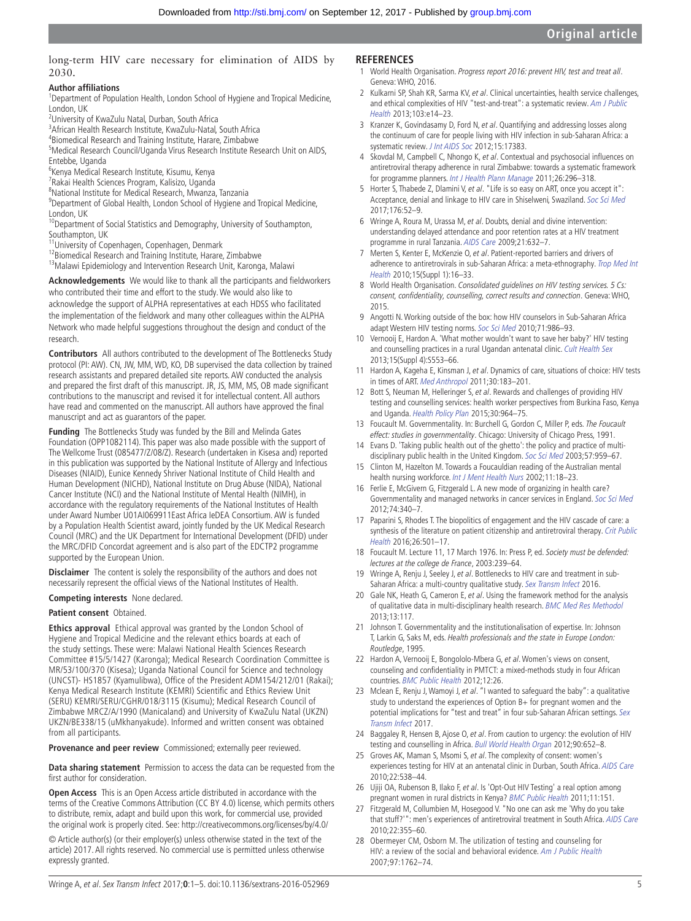long-term HIV care necessary for elimination of AIDS by 2030.

#### **Author affiliations**

<sup>1</sup>Department of Population Health, London School of Hygiene and Tropical Medicine, London, UK

<sup>2</sup> University of KwaZulu Natal, Durban, South Africa<br><sup>3</sup> African Hoalth Rosearch Institute KwaZulu-Natal

<sup>3</sup> African Health Research Institute, KwaZulu-Natal, South Africa

<sup>4</sup>Biomedical Research and Training Institute, Harare, Zimbabwe

5 Medical Research Council/Uganda Virus Research Institute Research Unit on AIDS, Entebbe, Uganda

6 Kenya Medical Research Institute, Kisumu, Kenya

7 Rakai Health Sciences Program, Kalisizo, Uganda

<sup>8</sup>National Institute for Medical Research, Mwanza, Tanzania<br><sup>9</sup>Department of Global Health, London School of Hygiene at

<sup>9</sup> Department of Global Health, London School of Hygiene and Tropical Medicine, London, UK

<sup>10</sup>Department of Social Statistics and Demography, University of Southampton, Southampton, UK

<sup>11</sup>University of Copenhagen, Copenhagen, Denmark

<sup>12</sup>Biomedical Research and Training Institute, Harare, Zimbabwe

<sup>13</sup> Malawi Epidemiology and Intervention Research Unit, Karonga, Malawi

**Acknowledgements** We would like to thank all the participants and fieldworkers who contributed their time and effort to the study. We would also like to acknowledge the support of ALPHA representatives at each HDSS who facilitated the implementation of the fieldwork and many other colleagues within the ALPHA Network who made helpful suggestions throughout the design and conduct of the research.

**Contributors** All authors contributed to the development of The Bottlenecks Study protocol (PI: AW). CN, JW, MM, WD, KO, DB supervised the data collection by trained research assistants and prepared detailed site reports. AW conducted the analysis and prepared the first draft of this manuscript. JR, JS, MM, MS, OB made significant contributions to the manuscript and revised it for intellectual content. All authors have read and commented on the manuscript. All authors have approved the final manuscript and act as guarantors of the paper.

**Funding** The Bottlenecks Study was funded by the Bill and Melinda Gates Foundation (OPP1082114). This paper was also made possible with the support of The Wellcome Trust (085477/Z/08/Z). Research (undertaken in Kisesa and) reported in this publication was supported by the National Institute of Allergy and Infectious Diseases (NIAID), Eunice Kennedy Shriver National Institute of Child Health and Human Development (NICHD), National Institute on Drug Abuse (NIDA), National Cancer Institute (NCI) and the National Institute of Mental Health (NIMH), in accordance with the regulatory requirements of the National Institutes of Health under Award Number U01AI069911East Africa IeDEA Consortium. AW is funded by a Population Health Scientist award, jointly funded by the UK Medical Research Council (MRC) and the UK Department for International Development (DFID) under the MRC/DFID Concordat agreement and is also part of the EDCTP2 programme supported by the European Union.

**Disclaimer** The content is solely the responsibility of the authors and does not necessarily represent the official views of the National Institutes of Health.

**Competing interests** None declared.

#### **Patient consent** Obtained.

**Ethics approval** Ethical approval was granted by the London School of Hygiene and Tropical Medicine and the relevant ethics boards at each of the study settings. These were: Malawi National Health Sciences Research Committee #15/5/1427 (Karonga); Medical Research Coordination Committee is MR/53/100/370 (Kisesa); Uganda National Council for Science and technology (UNCST)- HS1857 (Kyamulibwa), Office of the President ADM154/212/01 (Rakai); Kenya Medical Research Institute (KEMRI) Scientific and Ethics Review Unit (SERU) KEMRI/SERU/CGHR/018/3115 (Kisumu); Medical Research Council of Zimbabwe MRCZ/A/1990 (Manicaland) and University of KwaZulu Natal (UKZN) UKZN/BE338/15 (uMkhanyakude). Informed and written consent was obtained from all participants.

**Provenance and peer review** Commissioned; externally peer reviewed.

**Data sharing statement** Permission to access the data can be requested from the first author for consideration.

**Open Access** This is an Open Access article distributed in accordance with the terms of the Creative Commons Attribution (CC BY 4.0) license, which permits others to distribute, remix, adapt and build upon this work, for commercial use, provided the original work is properly cited. See: <http://creativecommons.org/licenses/by/4.0/>

© Article author(s) (or their employer(s) unless otherwise stated in the text of the article) 2017. All rights reserved. No commercial use is permitted unless otherwise expressly granted.

- <span id="page-4-0"></span>1 World Health Organisation. Progress report 2016: prevent HIV, test and treat all. Geneva: WHO, 2016.
- <span id="page-4-1"></span>2 Kulkarni SP, Shah KR, Sarma KV, et al. Clinical uncertainties, health service challenges, and ethical complexities of HIV "test-and-treat": a systematic review. Am J Public [Health](http://dx.doi.org/10.2105/AJPH.2013.301273) 2013;103:e14–23.
- 3 Kranzer K, Govindasamy D, Ford N, et al. Quantifying and addressing losses along the continuum of care for people living with HIV infection in sub-Saharan Africa: a systematic review. [J Int AIDS Soc](http://dx.doi.org/10.7448/IAS.15.2.17383) 2012;15:17383.
- <span id="page-4-2"></span>4 Skovdal M, Campbell C, Nhongo K, et al. Contextual and psychosocial influences on antiretroviral therapy adherence in rural Zimbabwe: towards a systematic framework for programme planners. [Int J Health Plann Manage](http://dx.doi.org/10.1002/hpm.1082) 2011;26:296–318.
- <span id="page-4-17"></span>5 Horter S, Thabede Z, Dlamini V, et al. "Life is so easy on ART, once you accept it": Acceptance, denial and linkage to HIV care in Shiselweni, Swaziland. [Soc Sci Med](http://dx.doi.org/10.1016/j.socscimed.2017.01.006) 2017;176:52–9.
- 6 Wringe A, Roura M, Urassa M, et al. Doubts, denial and divine intervention: understanding delayed attendance and poor retention rates at a HIV treatment programme in rural Tanzania. [AIDS Care](http://dx.doi.org/10.1080/09540120802385629) 2009;21:632–7.
- 7 Merten S, Kenter E, McKenzie O, et al. Patient-reported barriers and drivers of adherence to antiretrovirals in sub-Saharan Africa: a meta-ethnography. Trop Med Int [Health](http://dx.doi.org/10.1111/j.1365-3156.2010.02510.x) 2010;15(Suppl 1):16–33.
- <span id="page-4-3"></span>8 World Health Organisation. Consolidated guidelines on HIV testing services. 5 Cs: consent, confidentiality, counselling, correct results and connection. Geneva: WHO, 2015.
- <span id="page-4-4"></span>9 Angotti N. Working outside of the box: how HIV counselors in Sub-Saharan Africa adapt Western HIV testing norms. [Soc Sci Med](http://dx.doi.org/10.1016/j.socscimed.2010.05.020) 2010;71:986–93.
- 10 Vernooij E, Hardon A. 'What mother wouldn't want to save her baby?' HIV testing and counselling practices in a rural Ugandan antenatal clinic. [Cult Health Sex](http://dx.doi.org/10.1080/13691058.2012.758314) 2013;15(Suppl 4):S553–66.
- <span id="page-4-14"></span>11 Hardon A, Kageha E, Kinsman J, et al. Dynamics of care, situations of choice: HIV tests in times of ART. [Med Anthropol](http://dx.doi.org/10.1080/01459740.2011.552455) 2011;30:183–201.
- 12 Bott S, Neuman M, Helleringer S, et al. Rewards and challenges of providing HIV testing and counselling services: health worker perspectives from Burkina Faso, Kenya and Uganda. [Health Policy Plan](http://dx.doi.org/10.1093/heapol/czu100) 2015;30:964–75.
- <span id="page-4-5"></span>13 Foucault M. Governmentality. In: Burchell G, Gordon C, Miller P, eds. The Foucault effect: studies in governmentality. Chicago: University of Chicago Press, 1991.
- <span id="page-4-6"></span>14 Evans D. 'Taking public health out of the ghetto': the policy and practice of multidisciplinary public health in the United Kingdom. [Soc Sci Med](http://dx.doi.org/10.1016/S0277-9536(02)00473-2) 2003;57:959–67.
- 15 Clinton M, Hazelton M. Towards a Foucauldian reading of the Australian mental health nursing workforce. [Int J Ment Health Nurs](http://dx.doi.org/10.1046/j.1440-0979.2002.00221.x) 2002;11:18–23.
- 16 Ferlie E, McGivern G, Fitzgerald L. A new mode of organizing in health care? Governmentality and managed networks in cancer services in England. [Soc Sci Med](http://dx.doi.org/10.1016/j.socscimed.2011.03.021) 2012;74:340–7.
- <span id="page-4-7"></span>17 Paparini S, Rhodes T. The biopolitics of engagement and the HIV cascade of care: a synthesis of the literature on patient citizenship and antiretroviral therapy. Crit Public [Health](http://dx.doi.org/10.1080/09581596.2016.1140127) 2016;26:501–17.
- <span id="page-4-8"></span>18 Foucault M. Lecture 11, 17 March 1976. In: Press P, ed. Society must be defended: lectures at the college de France, 2003:239–64.
- <span id="page-4-9"></span>19 Wringe A, Renju J, Seeley J, et al. Bottlenecks to HIV care and treatment in sub-Saharan Africa: a multi-country qualitative study. Sex Transm Infect 2016.
- <span id="page-4-10"></span>20 Gale NK, Heath G, Cameron E, et al. Using the framework method for the analysis of qualitative data in multi-disciplinary health research. [BMC Med Res Methodol](http://dx.doi.org/10.1186/1471-2288-13-117) 2013;13:117.
- <span id="page-4-11"></span>21 Johnson T. Governmentality and the institutionalisation of expertise. In: Johnson T, Larkin G, Saks M, eds. Health professionals and the state in Europe London: Routledge, 1995.
- <span id="page-4-12"></span>22 Hardon A, Vernooij E, Bongololo-Mbera G, et al. Women's views on consent, counseling and confidentiality in PMTCT: a mixed-methods study in four African countries. [BMC Public Health](http://dx.doi.org/10.1186/1471-2458-12-26) 2012;12:26.
- 23 Mclean E, Renju J, Wamoyi J, et al. "I wanted to safeguard the baby": a qualitative study to understand the experiences of Option B+ for pregnant women and the potential implications for "test and treat" in four sub-Saharan African settings. Sex Transm Infect 2017.
- <span id="page-4-13"></span>24 Baggaley R, Hensen B, Ajose O, et al. From caution to urgency: the evolution of HIV testing and counselling in Africa. [Bull World Health Organ](http://dx.doi.org/10.2471/BLT.11.100818) 2012;90:652-8.
- 25 Groves AK, Maman S, Msomi S, et al. The complexity of consent: women's experiences testing for HIV at an antenatal clinic in Durban, South Africa. [AIDS Care](http://dx.doi.org/10.1080/09540120903311508) 2010;22:538–44.
- 26 Ujiji OA, Rubenson B, Ilako F, et al. Is 'Opt-Out HIV Testing' a real option among pregnant women in rural districts in Kenya? [BMC Public Health](http://dx.doi.org/10.1186/1471-2458-11-151) 2011;11:151.
- <span id="page-4-15"></span>27 Fitzgerald M, Collumbien M, Hosegood V. "No one can ask me 'Why do you take that stuff?'": men's experiences of antiretroviral treatment in South Africa. [AIDS Care](http://dx.doi.org/10.1080/09540120903111536) 2010;22:355–60.
- <span id="page-4-16"></span>28 Obermeyer CM, Osborn M. The utilization of testing and counseling for HIV: a review of the social and behavioral evidence. [Am J Public Health](http://dx.doi.org/10.2105/AJPH.2006.096263) 2007;97:1762–74.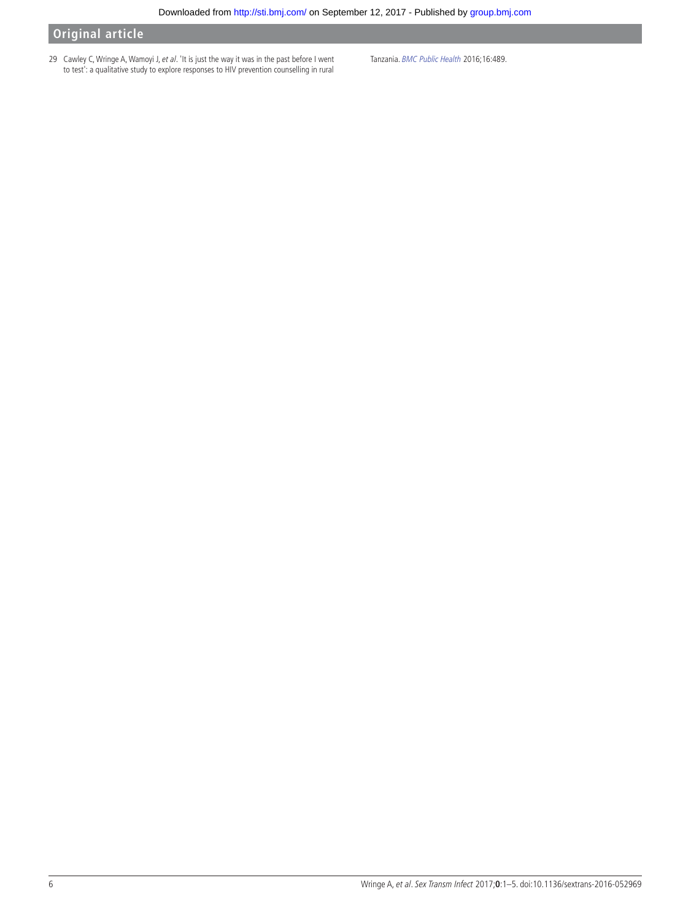# **Original article**

<span id="page-5-0"></span>29 Cawley C, Wringe A, Wamoyi J, et al. 'It is just the way it was in the past before I went to test': a qualitative study to explore responses to HIV prevention counselling in rural Tanzania. [BMC Public Health](http://dx.doi.org/10.1186/s12889-016-3109-7) 2016;16:489.